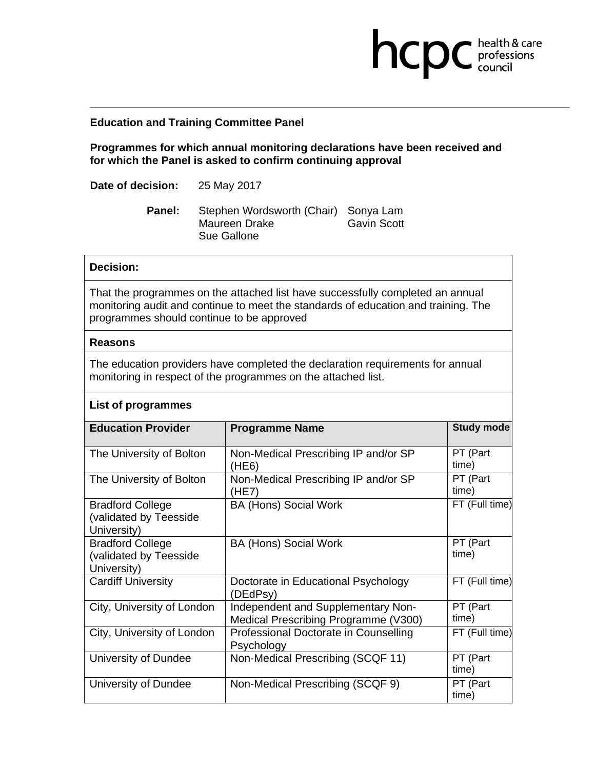## **Education and Training Committee Panel**

**Programmes for which annual monitoring declarations have been received and for which the Panel is asked to confirm continuing approval** 

**health & care** 

**Date of decision:** 25 May 2017

**Panel:** Stephen Wordsworth (Chair) Sonya Lam Maureen Drake Gavin Scott Sue Gallone

### **Decision:**

That the programmes on the attached list have successfully completed an annual monitoring audit and continue to meet the standards of education and training. The programmes should continue to be approved

#### **Reasons**

The education providers have completed the declaration requirements for annual monitoring in respect of the programmes on the attached list.

### **List of programmes**

| <b>Education Provider</b>                                        | <b>Programme Name</b>                                                      | <b>Study mode</b> |
|------------------------------------------------------------------|----------------------------------------------------------------------------|-------------------|
| The University of Bolton                                         | Non-Medical Prescribing IP and/or SP<br>(HE6)                              | PT (Part<br>time) |
| The University of Bolton                                         | Non-Medical Prescribing IP and/or SP<br>(HE7)                              | PT (Part<br>time) |
| <b>Bradford College</b><br>(validated by Teesside<br>University) | <b>BA (Hons) Social Work</b>                                               | FT (Full time)    |
| <b>Bradford College</b><br>(validated by Teesside<br>University) | <b>BA (Hons) Social Work</b>                                               | PT (Part<br>time) |
| <b>Cardiff University</b>                                        | Doctorate in Educational Psychology<br>(DEdPsy)                            | FT (Full time)    |
| City, University of London                                       | Independent and Supplementary Non-<br>Medical Prescribing Programme (V300) | PT (Part<br>time) |
| City, University of London                                       | Professional Doctorate in Counselling<br>Psychology                        | FT (Full time)    |
| University of Dundee                                             | Non-Medical Prescribing (SCQF 11)                                          | PT (Part<br>time) |
| University of Dundee                                             | Non-Medical Prescribing (SCQF 9)                                           | PT (Part<br>time) |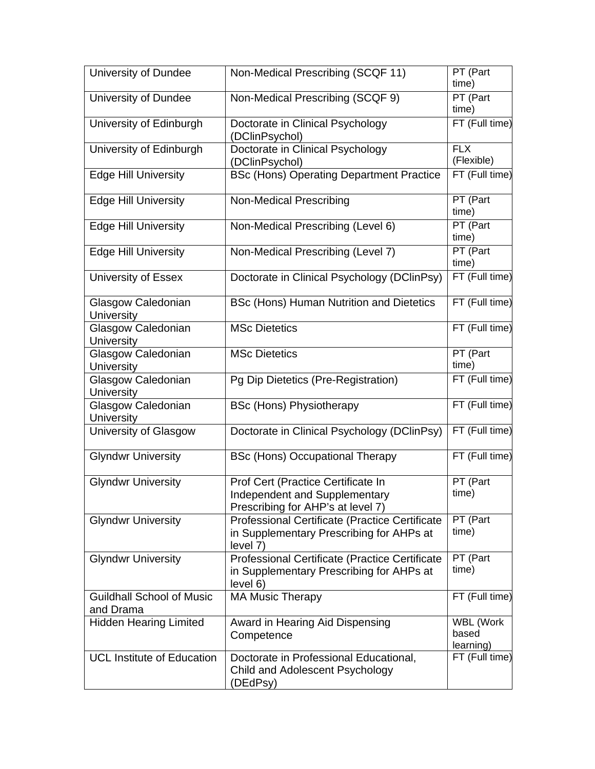| University of Dundee                          | Non-Medical Prescribing (SCQF 11)                                                                              | PT (Part<br>time)               |
|-----------------------------------------------|----------------------------------------------------------------------------------------------------------------|---------------------------------|
| University of Dundee                          | Non-Medical Prescribing (SCQF 9)                                                                               | PT (Part<br>time)               |
| University of Edinburgh                       | Doctorate in Clinical Psychology<br>(DClinPsychol)                                                             | FT (Full time)                  |
| University of Edinburgh                       | Doctorate in Clinical Psychology<br>(DClinPsychol)                                                             | <b>FLX</b><br>(Flexible)        |
| <b>Edge Hill University</b>                   | <b>BSc (Hons) Operating Department Practice</b>                                                                | FT (Full time)                  |
| <b>Edge Hill University</b>                   | <b>Non-Medical Prescribing</b>                                                                                 | PT (Part<br>time)               |
| <b>Edge Hill University</b>                   | Non-Medical Prescribing (Level 6)                                                                              | PT (Part<br>time)               |
| <b>Edge Hill University</b>                   | Non-Medical Prescribing (Level 7)                                                                              | PT (Part<br>time)               |
| University of Essex                           | Doctorate in Clinical Psychology (DClinPsy)                                                                    | FT (Full time)                  |
| Glasgow Caledonian<br>University              | BSc (Hons) Human Nutrition and Dietetics                                                                       | FT (Full time)                  |
| Glasgow Caledonian<br><b>University</b>       | <b>MSc Dietetics</b>                                                                                           | FT (Full time)                  |
| Glasgow Caledonian<br>University              | <b>MSc Dietetics</b>                                                                                           | PT (Part<br>time)               |
| Glasgow Caledonian<br>University              | Pg Dip Dietetics (Pre-Registration)                                                                            | FT (Full time)                  |
| Glasgow Caledonian<br>University              | <b>BSc (Hons) Physiotherapy</b>                                                                                | FT (Full time)                  |
| University of Glasgow                         | Doctorate in Clinical Psychology (DClinPsy)                                                                    | FT (Full time)                  |
| <b>Glyndwr University</b>                     | <b>BSc (Hons) Occupational Therapy</b>                                                                         | FT (Full time)                  |
| <b>Glyndwr University</b>                     | Prof Cert (Practice Certificate In<br>Independent and Supplementary<br>Prescribing for AHP's at level 7)       | PT (Part<br>time)               |
| <b>Glyndwr University</b>                     | <b>Professional Certificate (Practice Certificate)</b><br>in Supplementary Prescribing for AHPs at<br>level 7) | PT (Part<br>time)               |
| <b>Glyndwr University</b>                     | Professional Certificate (Practice Certificate<br>in Supplementary Prescribing for AHPs at<br>level 6)         | PT (Part<br>time)               |
| <b>Guildhall School of Music</b><br>and Drama | <b>MA Music Therapy</b>                                                                                        | FT (Full time)                  |
| <b>Hidden Hearing Limited</b>                 | Award in Hearing Aid Dispensing<br>Competence                                                                  | WBL (Work<br>based<br>learning) |
| <b>UCL Institute of Education</b>             | Doctorate in Professional Educational,<br>Child and Adolescent Psychology<br>(DEdPsy)                          | FT (Full time)                  |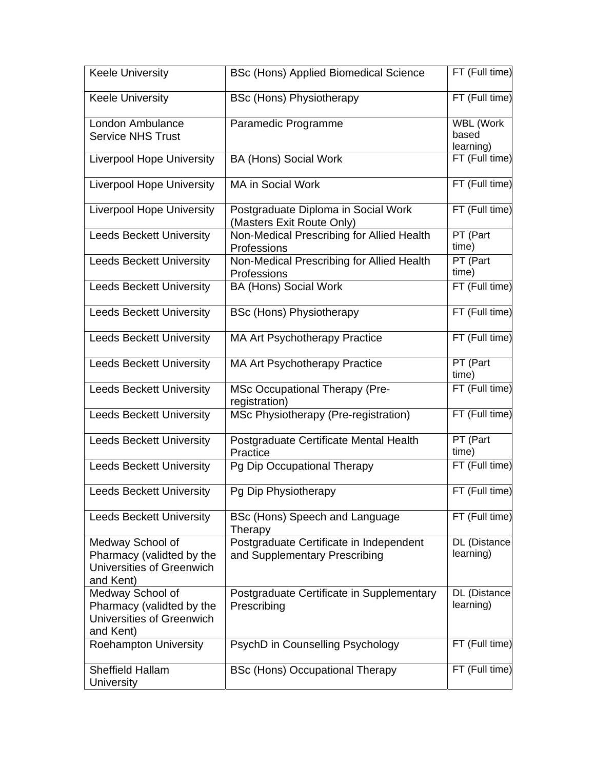| <b>Keele University</b>                                                                 | <b>BSc (Hons) Applied Biomedical Science</b>                             | FT (Full time)                         |
|-----------------------------------------------------------------------------------------|--------------------------------------------------------------------------|----------------------------------------|
| <b>Keele University</b>                                                                 | <b>BSc (Hons) Physiotherapy</b>                                          | FT (Full time)                         |
| London Ambulance<br><b>Service NHS Trust</b>                                            | Paramedic Programme                                                      | <b>WBL (Work</b><br>based<br>learning) |
| <b>Liverpool Hope University</b>                                                        | <b>BA (Hons) Social Work</b>                                             | FT (Full time)                         |
| <b>Liverpool Hope University</b>                                                        | MA in Social Work                                                        | FT (Full time)                         |
| <b>Liverpool Hope University</b>                                                        | Postgraduate Diploma in Social Work<br>(Masters Exit Route Only)         | FT (Full time)                         |
| <b>Leeds Beckett University</b>                                                         | Non-Medical Prescribing for Allied Health<br>Professions                 | PT (Part<br>time)                      |
| <b>Leeds Beckett University</b>                                                         | Non-Medical Prescribing for Allied Health<br>Professions                 | PT (Part<br>time)                      |
| <b>Leeds Beckett University</b>                                                         | <b>BA (Hons) Social Work</b>                                             | FT (Full time)                         |
| <b>Leeds Beckett University</b>                                                         | <b>BSc (Hons) Physiotherapy</b>                                          | FT (Full time)                         |
| <b>Leeds Beckett University</b>                                                         | MA Art Psychotherapy Practice                                            | FT (Full time)                         |
| <b>Leeds Beckett University</b>                                                         | MA Art Psychotherapy Practice                                            | PT (Part<br>time)                      |
| <b>Leeds Beckett University</b>                                                         | <b>MSc Occupational Therapy (Pre-</b><br>registration)                   | FT (Full time)                         |
| <b>Leeds Beckett University</b>                                                         | MSc Physiotherapy (Pre-registration)                                     | FT (Full time)                         |
| <b>Leeds Beckett University</b>                                                         | Postgraduate Certificate Mental Health<br>Practice                       | PT (Part<br>time)                      |
| <b>Leeds Beckett University</b>                                                         | Pg Dip Occupational Therapy                                              | FT (Full time)                         |
| <b>Leeds Beckett University</b>                                                         | Pg Dip Physiotherapy                                                     | FT (Full time)                         |
| <b>Leeds Beckett University</b>                                                         | BSc (Hons) Speech and Language<br>Therapy                                | FT (Full time)                         |
| Medway School of<br>Pharmacy (validted by the<br>Universities of Greenwich<br>and Kent) | Postgraduate Certificate in Independent<br>and Supplementary Prescribing | DL (Distance<br>learning)              |
| Medway School of<br>Pharmacy (validted by the<br>Universities of Greenwich<br>and Kent) | Postgraduate Certificate in Supplementary<br>Prescribing                 | DL (Distance<br>learning)              |
| <b>Roehampton University</b>                                                            | PsychD in Counselling Psychology                                         | FT (Full time)                         |
| <b>Sheffield Hallam</b><br>University                                                   | <b>BSc (Hons) Occupational Therapy</b>                                   | FT (Full time)                         |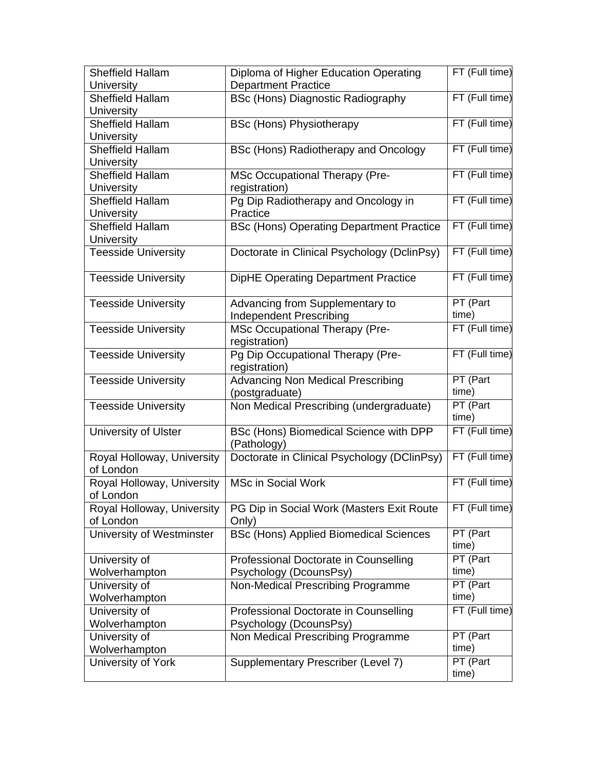| <b>Sheffield Hallam</b>        | Diploma of Higher Education Operating                     | FT (Full time)        |
|--------------------------------|-----------------------------------------------------------|-----------------------|
| University                     | <b>Department Practice</b>                                |                       |
| Sheffield Hallam               | <b>BSc (Hons) Diagnostic Radiography</b>                  | FT (Full time)        |
| University                     |                                                           |                       |
| <b>Sheffield Hallam</b>        | <b>BSc (Hons) Physiotherapy</b>                           | FT (Full time)        |
| <b>University</b>              |                                                           |                       |
| <b>Sheffield Hallam</b>        | BSc (Hons) Radiotherapy and Oncology                      | FT (Full time)        |
| <b>University</b>              |                                                           |                       |
| <b>Sheffield Hallam</b>        | MSc Occupational Therapy (Pre-                            | FT (Full time)        |
| University                     | registration)                                             |                       |
| Sheffield Hallam               | Pg Dip Radiotherapy and Oncology in                       | FT (Full time)        |
| <b>University</b>              | Practice                                                  |                       |
| <b>Sheffield Hallam</b>        | <b>BSc (Hons) Operating Department Practice</b>           | FT (Full time)        |
| University                     |                                                           |                       |
| <b>Teesside University</b>     | Doctorate in Clinical Psychology (DclinPsy)               | FT (Full time)        |
| <b>Teesside University</b>     | <b>DipHE Operating Department Practice</b>                | FT (Full time)        |
| <b>Teesside University</b>     | Advancing from Supplementary to                           | PT (Part              |
|                                | <b>Independent Prescribing</b>                            | time)                 |
| <b>Teesside University</b>     | <b>MSc Occupational Therapy (Pre-</b>                     | FT (Full time)        |
|                                | registration)                                             |                       |
| <b>Teesside University</b>     | Pg Dip Occupational Therapy (Pre-<br>registration)        | FT (Full time)        |
|                                |                                                           |                       |
|                                |                                                           | PT (Part              |
| <b>Teesside University</b>     | <b>Advancing Non Medical Prescribing</b>                  | time)                 |
| <b>Teesside University</b>     | (postgraduate)<br>Non Medical Prescribing (undergraduate) | PT (Part<br>time)     |
| University of Ulster           | BSc (Hons) Biomedical Science with DPP<br>(Pathology)     | FT (Full time)        |
| Royal Holloway, University     | Doctorate in Clinical Psychology (DClinPsy)               | FT (Full time)        |
| of London                      |                                                           |                       |
| Royal Holloway, University     | <b>MSc in Social Work</b>                                 | FT (Full time)        |
| of London                      |                                                           |                       |
| Royal Holloway, University     | PG Dip in Social Work (Masters Exit Route                 | FT (Full time)        |
| of London                      | Only)                                                     |                       |
| University of Westminster      | <b>BSc (Hons) Applied Biomedical Sciences</b>             | PT (Part              |
|                                |                                                           | time)                 |
| University of                  | Professional Doctorate in Counselling                     | $\overline{PT}$ (Part |
| Wolverhampton                  | Psychology (DcounsPsy)                                    | time)                 |
| University of                  | Non-Medical Prescribing Programme                         | PT (Part              |
| Wolverhampton                  |                                                           | time)                 |
| University of                  | Professional Doctorate in Counselling                     | FT (Full time)        |
| Wolverhampton                  |                                                           |                       |
|                                | Psychology (DcounsPsy)                                    | PT (Part              |
| University of<br>Wolverhampton | Non Medical Prescribing Programme                         | time)                 |
| University of York             | Supplementary Prescriber (Level 7)                        | PT (Part              |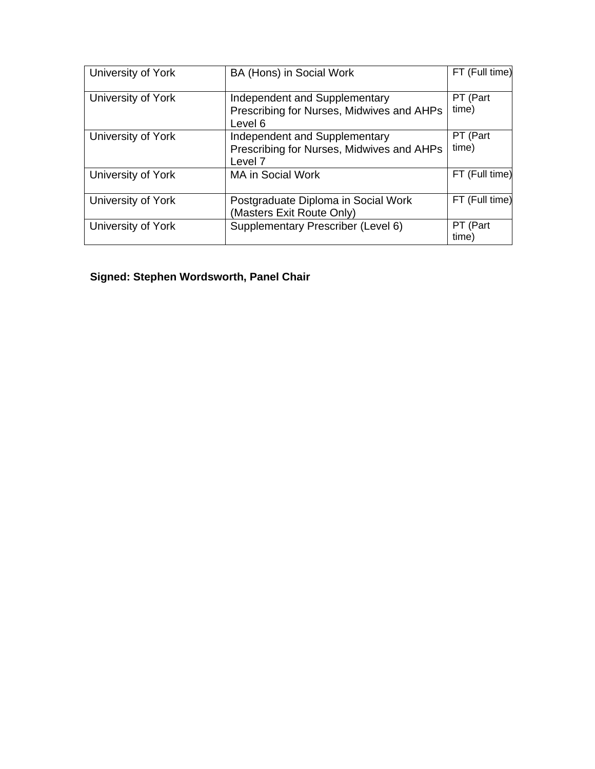| University of York | BA (Hons) in Social Work                                                                         | FT (Full time)    |
|--------------------|--------------------------------------------------------------------------------------------------|-------------------|
| University of York | Independent and Supplementary<br>Prescribing for Nurses, Midwives and AHPs<br>Level 6            | PT (Part<br>time) |
| University of York | Independent and Supplementary<br>Prescribing for Nurses, Midwives and AHPs<br>Level <sub>7</sub> | PT (Part<br>time) |
| University of York | <b>MA in Social Work</b>                                                                         | FT (Full time)    |
| University of York | Postgraduate Diploma in Social Work<br>(Masters Exit Route Only)                                 | FT (Full time)    |
| University of York | Supplementary Prescriber (Level 6)                                                               | PT (Part<br>time) |

# **Signed: Stephen Wordsworth, Panel Chair**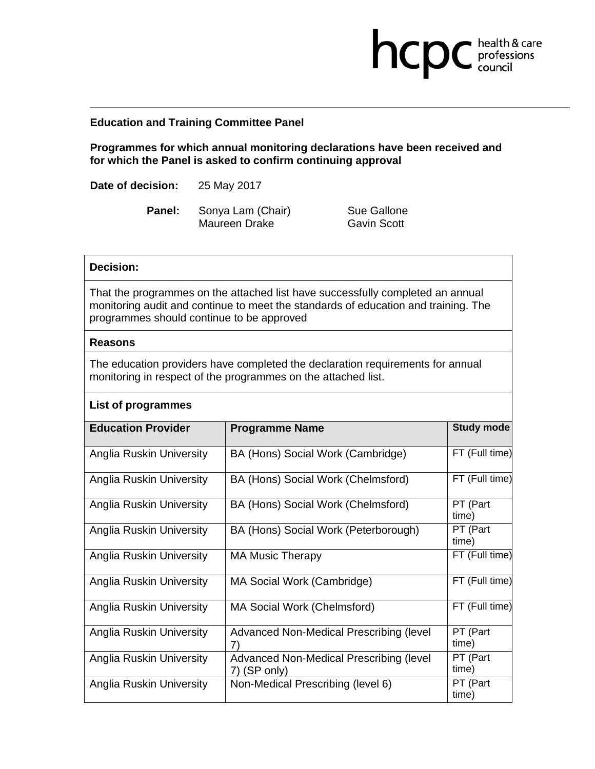## **Education and Training Committee Panel**

**Programmes for which annual monitoring declarations have been received and for which the Panel is asked to confirm continuing approval** 

**Date of decision:** 25 May 2017

**Panel:** Sonya Lam (Chair) Sue Gallone Maureen Drake Gavin Scott

**health & care** 

### **Decision:**

That the programmes on the attached list have successfully completed an annual monitoring audit and continue to meet the standards of education and training. The programmes should continue to be approved

## **Reasons**

The education providers have completed the declaration requirements for annual monitoring in respect of the programmes on the attached list.

|  | List of programmes |
|--|--------------------|
|--|--------------------|

| <b>Education Provider</b> | <b>Programme Name</b>                                   | <b>Study mode</b> |
|---------------------------|---------------------------------------------------------|-------------------|
| Anglia Ruskin University  | BA (Hons) Social Work (Cambridge)                       | FT (Full time)    |
| Anglia Ruskin University  | BA (Hons) Social Work (Chelmsford)                      | FT (Full time)    |
| Anglia Ruskin University  | BA (Hons) Social Work (Chelmsford)                      | PT (Part<br>time) |
| Anglia Ruskin University  | BA (Hons) Social Work (Peterborough)                    | PT (Part<br>time) |
| Anglia Ruskin University  | <b>MA Music Therapy</b>                                 | FT (Full time)    |
| Anglia Ruskin University  | MA Social Work (Cambridge)                              | FT (Full time)    |
| Anglia Ruskin University  | MA Social Work (Chelmsford)                             | FT (Full time)    |
| Anglia Ruskin University  | Advanced Non-Medical Prescribing (level                 | PT (Part<br>time) |
| Anglia Ruskin University  | Advanced Non-Medical Prescribing (level<br>7) (SP only) | PT (Part<br>time) |
| Anglia Ruskin University  | Non-Medical Prescribing (level 6)                       | PT (Part<br>time) |